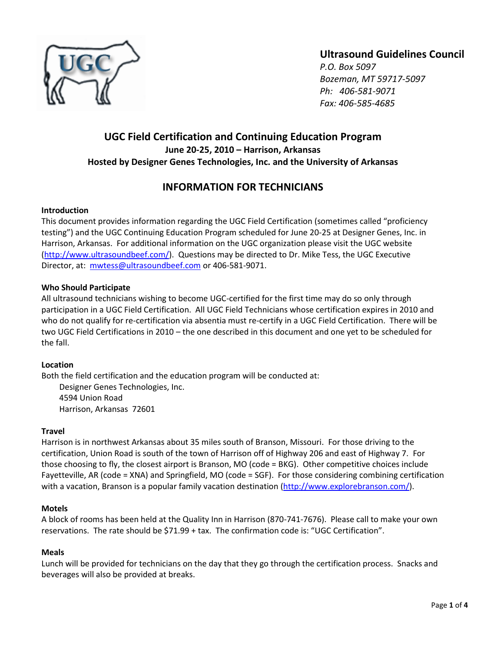

# **Ultrasound Guidelines Council**

*P.O. Box 5097 Bozeman, MT 59717-5097 Ph: 406-581-9071 Fax: 406-585-4685*

# **UGC Field Certification and Continuing Education Program June 20-25, 2010 – Harrison, Arkansas Hosted by Designer Genes Technologies, Inc. and the University of Arkansas**

# **INFORMATION FOR TECHNICIANS**

# **Introduction**

This document provides information regarding the UGC Field Certification (sometimes called "proficiency testing") and the UGC Continuing Education Program scheduled for June 20-25 at Designer Genes, Inc. in Harrison, Arkansas. For additional information on the UGC organization please visit the UGC website [\(http://www.ultrasoundbeef.com/\)](http://www.ultrasoundbeef.com/). Questions may be directed to Dr. Mike Tess, the UGC Executive Director, at: [mwtess@ultrasoundbeef.com](mailto:mwtess@ultrasoundbeef.com) or 406-581-9071.

# **Who Should Participate**

All ultrasound technicians wishing to become UGC-certified for the first time may do so only through participation in a UGC Field Certification. All UGC Field Technicians whose certification expires in 2010 and who do not qualify for re-certification via absentia must re-certify in a UGC Field Certification. There will be two UGC Field Certifications in 2010 – the one described in this document and one yet to be scheduled for the fall.

# **Location**

Both the field certification and the education program will be conducted at: Designer Genes Technologies, Inc. 4594 Union Road

Harrison, Arkansas 72601

# **Travel**

Harrison is in northwest Arkansas about 35 miles south of Branson, Missouri. For those driving to the certification, Union Road is south of the town of Harrison off of Highway 206 and east of Highway 7. For those choosing to fly, the closest airport is Branson, MO (code = BKG). Other competitive choices include Fayetteville, AR (code = XNA) and Springfield, MO (code = SGF). For those considering combining certification with a vacation, Branson is a popular family vacation destination [\(http://www.explorebranson.com/\)](http://www.explorebranson.com/).

# **Motels**

A block of rooms has been held at the Quality Inn in Harrison (870-741-7676). Please call to make your own reservations. The rate should be \$71.99 + tax. The confirmation code is: "UGC Certification".

# **Meals**

Lunch will be provided for technicians on the day that they go through the certification process. Snacks and beverages will also be provided at breaks.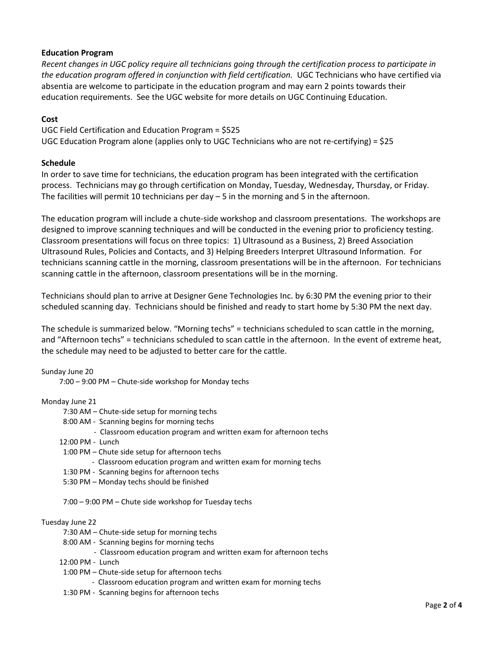# **Education Program**

*Recent changes in UGC policy require all technicians going through the certification process to participate in the education program offered in conjunction with field certification.* UGC Technicians who have certified via absentia are welcome to participate in the education program and may earn 2 points towards their education requirements. See the UGC website for more details on UGC Continuing Education.

### **Cost**

UGC Field Certification and Education Program = \$525 UGC Education Program alone (applies only to UGC Technicians who are not re-certifying) = \$25

### **Schedule**

In order to save time for technicians, the education program has been integrated with the certification process. Technicians may go through certification on Monday, Tuesday, Wednesday, Thursday, or Friday. The facilities will permit 10 technicians per day – 5 in the morning and 5 in the afternoon.

The education program will include a chute-side workshop and classroom presentations. The workshops are designed to improve scanning techniques and will be conducted in the evening prior to proficiency testing. Classroom presentations will focus on three topics: 1) Ultrasound as a Business, 2) Breed Association Ultrasound Rules, Policies and Contacts, and 3) Helping Breeders Interpret Ultrasound Information. For technicians scanning cattle in the morning, classroom presentations will be in the afternoon. For technicians scanning cattle in the afternoon, classroom presentations will be in the morning.

Technicians should plan to arrive at Designer Gene Technologies Inc. by 6:30 PM the evening prior to their scheduled scanning day. Technicians should be finished and ready to start home by 5:30 PM the next day.

The schedule is summarized below. "Morning techs" = technicians scheduled to scan cattle in the morning, and "Afternoon techs" = technicians scheduled to scan cattle in the afternoon. In the event of extreme heat, the schedule may need to be adjusted to better care for the cattle.

### Sunday June 20

7:00 – 9:00 PM – Chute-side workshop for Monday techs

### Monday June 21

- 7:30 AM Chute-side setup for morning techs
- 8:00 AM Scanning begins for morning techs
	- Classroom education program and written exam for afternoon techs
- 12:00 PM Lunch
- 1:00 PM Chute side setup for afternoon techs
	- Classroom education program and written exam for morning techs
- 1:30 PM Scanning begins for afternoon techs
- 5:30 PM Monday techs should be finished

7:00 – 9:00 PM – Chute side workshop for Tuesday techs

#### Tuesday June 22

- 7:30 AM Chute-side setup for morning techs
- 8:00 AM Scanning begins for morning techs
	- Classroom education program and written exam for afternoon techs
- 12:00 PM Lunch
- 1:00 PM Chute-side setup for afternoon techs
	- Classroom education program and written exam for morning techs
- 1:30 PM Scanning begins for afternoon techs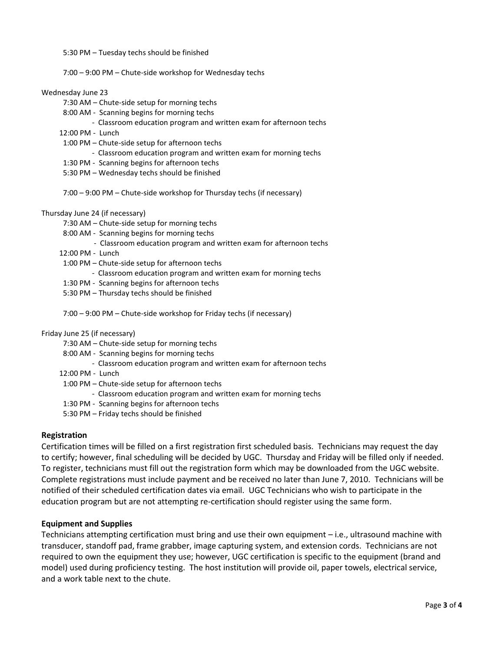5:30 PM – Tuesday techs should be finished

7:00 – 9:00 PM – Chute-side workshop for Wednesday techs

#### Wednesday June 23

- 7:30 AM Chute-side setup for morning techs
- 8:00 AM Scanning begins for morning techs
	- Classroom education program and written exam for afternoon techs
- 12:00 PM Lunch
- 1:00 PM Chute-side setup for afternoon techs
	- Classroom education program and written exam for morning techs
- 1:30 PM Scanning begins for afternoon techs
- 5:30 PM Wednesday techs should be finished

7:00 – 9:00 PM – Chute-side workshop for Thursday techs (if necessary)

Thursday June 24 (if necessary)

- 7:30 AM Chute-side setup for morning techs
- 8:00 AM Scanning begins for morning techs
	- Classroom education program and written exam for afternoon techs
- 12:00 PM Lunch
- 1:00 PM Chute-side setup for afternoon techs
	- Classroom education program and written exam for morning techs
- 1:30 PM Scanning begins for afternoon techs
- 5:30 PM Thursday techs should be finished

7:00 – 9:00 PM – Chute-side workshop for Friday techs (if necessary)

#### Friday June 25 (if necessary)

- 7:30 AM Chute-side setup for morning techs
- 8:00 AM Scanning begins for morning techs
	- Classroom education program and written exam for afternoon techs
- 12:00 PM Lunch
- 1:00 PM Chute-side setup for afternoon techs
	- Classroom education program and written exam for morning techs
- 1:30 PM Scanning begins for afternoon techs
- 5:30 PM Friday techs should be finished

### **Registration**

Certification times will be filled on a first registration first scheduled basis. Technicians may request the day to certify; however, final scheduling will be decided by UGC. Thursday and Friday will be filled only if needed. To register, technicians must fill out the registration form which may be downloaded from the UGC website. Complete registrations must include payment and be received no later than June 7, 2010. Technicians will be notified of their scheduled certification dates via email. UGC Technicians who wish to participate in the education program but are not attempting re-certification should register using the same form.

### **Equipment and Supplies**

Technicians attempting certification must bring and use their own equipment – i.e., ultrasound machine with transducer, standoff pad, frame grabber, image capturing system, and extension cords. Technicians are not required to own the equipment they use; however, UGC certification is specific to the equipment (brand and model) used during proficiency testing. The host institution will provide oil, paper towels, electrical service, and a work table next to the chute.